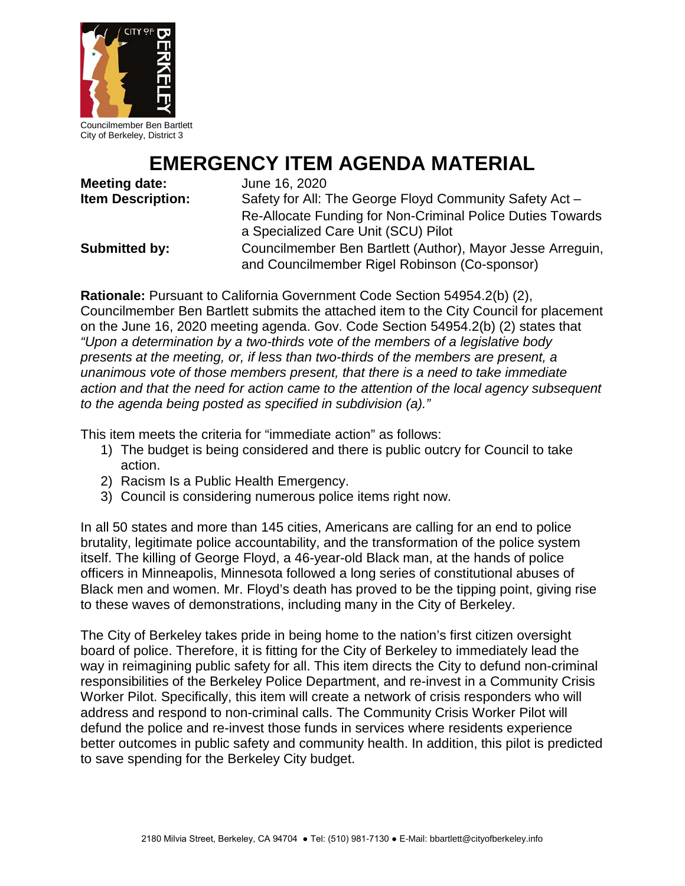

Councilmember Ben Bartlett City of Berkeley, District 3

# **EMERGENCY ITEM AGENDA MATERIAL**

**Meeting date:** June 16, 2020

**Item Description:** Safety for All: The George Floyd Community Safety Act – Re-Allocate Funding for Non-Criminal Police Duties Towards a Specialized Care Unit (SCU) Pilot **Submitted by:** Councilmember Ben Bartlett (Author), Mayor Jesse Arreguin,

and Councilmember Rigel Robinson (Co-sponsor)

**Rationale:** Pursuant to California Government Code Section 54954.2(b) (2), Councilmember Ben Bartlett submits the attached item to the City Council for placement on the June 16, 2020 meeting agenda. Gov. Code Section 54954.2(b) (2) states that *"Upon a determination by a two-thirds vote of the members of a legislative body presents at the meeting, or, if less than two-thirds of the members are present, a unanimous vote of those members present, that there is a need to take immediate action and that the need for action came to the attention of the local agency subsequent to the agenda being posted as specified in subdivision (a)."* 

This item meets the criteria for "immediate action" as follows:

- 1) The budget is being considered and there is public outcry for Council to take action.
- 2) Racism Is a Public Health Emergency.
- 3) Council is considering numerous police items right now.

In all 50 states and more than 145 cities, Americans are calling for an end to police brutality, legitimate police accountability, and the transformation of the police system itself. The killing of George Floyd, a 46-year-old Black man, at the hands of police officers in Minneapolis, Minnesota followed a long series of constitutional abuses of Black men and women. Mr. Floyd's death has proved to be the tipping point, giving rise to these waves of demonstrations, including many in the City of Berkeley.

The City of Berkeley takes pride in being home to the nation's first citizen oversight board of police. Therefore, it is fitting for the City of Berkeley to immediately lead the way in reimagining public safety for all. This item directs the City to defund non-criminal responsibilities of the Berkeley Police Department, and re-invest in a Community Crisis Worker Pilot. Specifically, this item will create a network of crisis responders who will address and respond to non-criminal calls. The Community Crisis Worker Pilot will defund the police and re-invest those funds in services where residents experience better outcomes in public safety and community health. In addition, this pilot is predicted to save spending for the Berkeley City budget.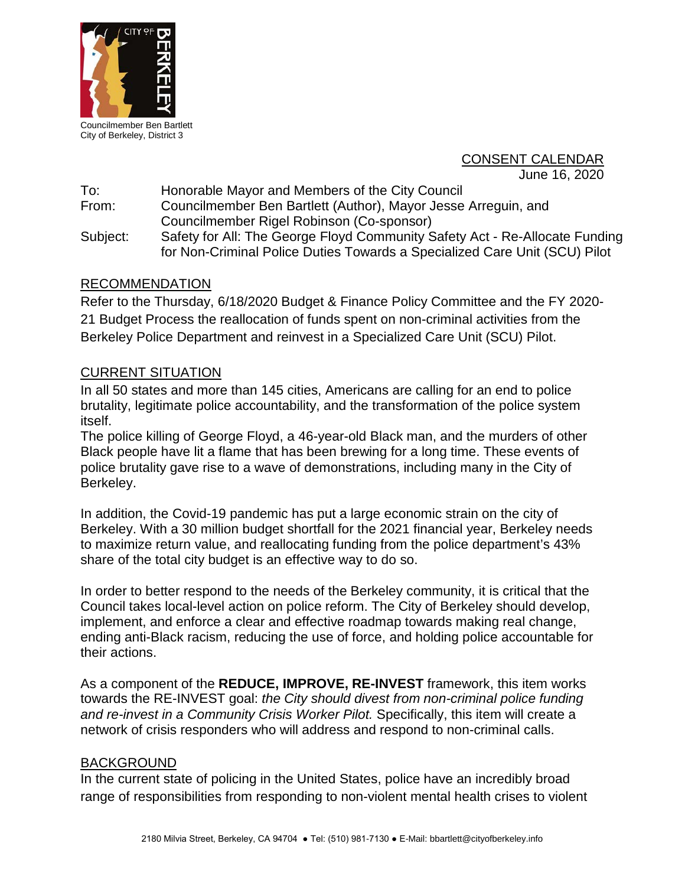

Councilmember Ben Bartlett City of Berkeley, District 3

# CONSENT CALENDAR

June 16, 2020

To: Honorable Mayor and Members of the City Council

From: Councilmember Ben Bartlett (Author), Mayor Jesse Arreguin, and Councilmember Rigel Robinson (Co-sponsor)

Subject: Safety for All: The George Floyd Community Safety Act - Re-Allocate Funding for Non-Criminal Police Duties Towards a Specialized Care Unit (SCU) Pilot

# RECOMMENDATION

Refer to the Thursday, 6/18/2020 Budget & Finance Policy Committee and the FY 2020- 21 Budget Process the reallocation of funds spent on non-criminal activities from the Berkeley Police Department and reinvest in a Specialized Care Unit (SCU) Pilot.

# CURRENT SITUATION

In all 50 states and more than 145 cities, Americans are calling for an end to police brutality, legitimate police accountability, and the transformation of the police system itself.

The police killing of George Floyd, a 46-year-old Black man, and the murders of other Black people have lit a flame that has been brewing for a long time. These events of police brutality gave rise to a wave of demonstrations, including many in the City of Berkeley.

In addition, the Covid-19 pandemic has put a large economic strain on the city of Berkeley. With a 30 million budget shortfall for the 2021 financial year, Berkeley needs to maximize return value, and reallocating funding from the police department's 43% share of the total city budget is an effective way to do so.

In order to better respond to the needs of the Berkeley community, it is critical that the Council takes local-level action on police reform. The City of Berkeley should develop, implement, and enforce a clear and effective roadmap towards making real change, ending anti-Black racism, reducing the use of force, and holding police accountable for their actions.

As a component of the **REDUCE, IMPROVE, RE-INVEST** framework, this item works towards the RE-INVEST goal: *the City should divest from non-criminal police funding and re-invest in a Community Crisis Worker Pilot.* Specifically, this item will create a network of crisis responders who will address and respond to non-criminal calls.

## BACKGROUND

In the current state of policing in the United States, police have an incredibly broad range of responsibilities from responding to non-violent mental health crises to violent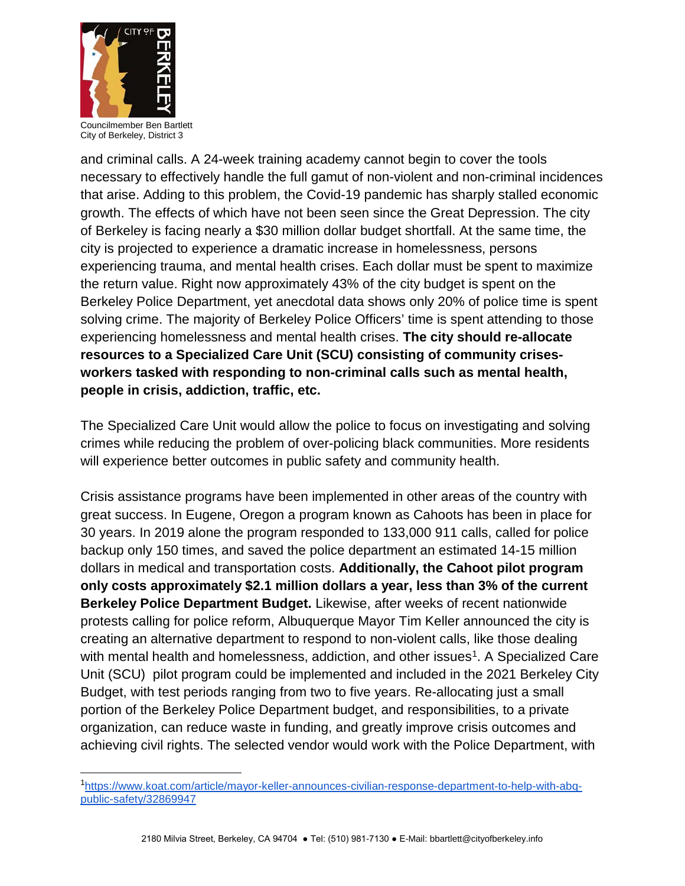

Councilmember Ben Bartlett City of Berkeley, District 3

and criminal calls. A 24-week training academy cannot begin to cover the tools necessary to effectively handle the full gamut of non-violent and non-criminal incidences that arise. Adding to this problem, the Covid-19 pandemic has sharply stalled economic growth. The effects of which have not been seen since the Great Depression. The city of Berkeley is facing nearly a \$30 million dollar budget shortfall. At the same time, the city is projected to experience a dramatic increase in homelessness, persons experiencing trauma, and mental health crises. Each dollar must be spent to maximize the return value. Right now approximately 43% of the city budget is spent on the Berkeley Police Department, yet anecdotal data shows only 20% of police time is spent solving crime. The majority of Berkeley Police Officers' time is spent attending to those experiencing homelessness and mental health crises. **The city should re-allocate resources to a Specialized Care Unit (SCU) consisting of community crisesworkers tasked with responding to non-criminal calls such as mental health, people in crisis, addiction, traffic, etc.**

The Specialized Care Unit would allow the police to focus on investigating and solving crimes while reducing the problem of over-policing black communities. More residents will experience better outcomes in public safety and community health.

Crisis assistance programs have been implemented in other areas of the country with great success. In Eugene, Oregon a program known as Cahoots has been in place for 30 years. In 2019 alone the program responded to 133,000 911 calls, called for police backup only 150 times, and saved the police department an estimated 14-15 million dollars in medical and transportation costs. **Additionally, the Cahoot pilot program only costs approximately \$2.1 million dollars a year, less than 3% of the current Berkeley Police Department Budget.** Likewise, after weeks of recent nationwide protests calling for police reform, Albuquerque Mayor Tim Keller announced the city is creating an alternative department to respond to non-violent calls, like those dealing with mental health and homelessness, addiction, and other issues<sup>1</sup>. A Specialized Care Unit (SCU) pilot program could be implemented and included in the 2021 Berkeley City Budget, with test periods ranging from two to five years. Re-allocating just a small portion of the Berkeley Police Department budget, and responsibilities, to a private organization, can reduce waste in funding, and greatly improve crisis outcomes and achieving civil rights. The selected vendor would work with the Police Department, with

<span id="page-2-0"></span> <sup>1</sup> [https://www.koat.com/article/mayor-keller-announces-civilian-response-department-to-help-with-abq](https://www.koat.com/article/mayor-keller-announces-civilian-response-department-to-help-with-abq-public-safety/32869947)[public-safety/32869947](https://www.koat.com/article/mayor-keller-announces-civilian-response-department-to-help-with-abq-public-safety/32869947)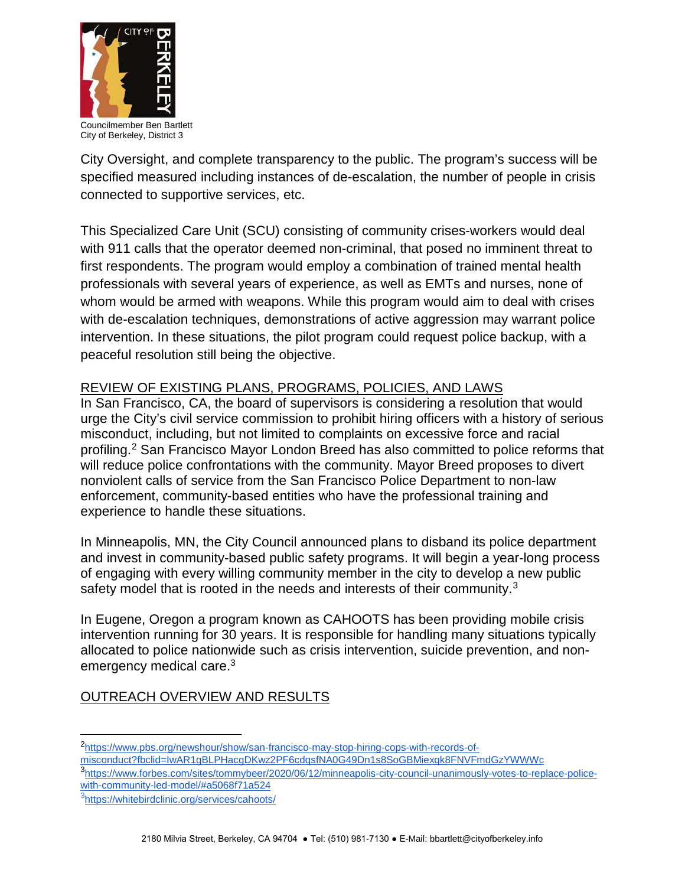

Councilmember Ben Bartlett City of Berkeley, District 3

City Oversight, and complete transparency to the public. The program's success will be specified measured including instances of de-escalation, the number of people in crisis connected to supportive services, etc.

This Specialized Care Unit (SCU) consisting of community crises-workers would deal with 911 calls that the operator deemed non-criminal, that posed no imminent threat to first respondents. The program would employ a combination of trained mental health professionals with several years of experience, as well as EMTs and nurses, none of whom would be armed with weapons. While this program would aim to deal with crises with de-escalation techniques, demonstrations of active aggression may warrant police intervention. In these situations, the pilot program could request police backup, with a peaceful resolution still being the objective.

# REVIEW OF EXISTING PLANS, PROGRAMS, POLICIES, AND LAWS

In San Francisco, CA, the board of supervisors is considering a resolution that would urge the City's civil service commission to prohibit hiring officers with a history of serious misconduct, including, but not limited to complaints on excessive force and racial profiling.[2](#page-3-0) San Francisco Mayor London Breed has also committed to police reforms that will reduce police confrontations with the community. Mayor Breed proposes to divert nonviolent calls of service from the San Francisco Police Department to non-law enforcement, community-based entities who have the professional training and experience to handle these situations.

In Minneapolis, MN, the City Council announced plans to disband its police department and invest in community-based public safety programs. It will begin a year-long process of engaging with every willing community member in the city to develop a new public safety model that is rooted in the needs and interests of their community.<sup>[3](#page-3-1)</sup>

In Eugene, Oregon a program known as CAHOOTS has been providing mobile crisis intervention running for 30 years. It is responsible for handling many situations typically allocated to police nationwide such as crisis intervention, suicide prevention, and nonemergency medical care.3

# OUTREACH OVERVIEW AND RESULTS

 <sup>2</sup> [https://www.pbs.org/newshour/show/san-francisco-may-stop-hiring-cops-with-records-of-](https://www.pbs.org/newshour/show/san-francisco-may-stop-hiring-cops-with-records-of-misconduct?fbclid=IwAR1gBLPHacgDKwz2PF6cdqsfNA0G49Dn1s8SoGBMiexqk8FNVFmdGzYWWWc)

<span id="page-3-0"></span>[misconduct?fbclid=IwAR1gBLPHacgDKwz2PF6cdqsfNA0G49Dn1s8SoGBMiexqk8FNVFmdGzYWWWc](https://www.pbs.org/newshour/show/san-francisco-may-stop-hiring-cops-with-records-of-misconduct?fbclid=IwAR1gBLPHacgDKwz2PF6cdqsfNA0G49Dn1s8SoGBMiexqk8FNVFmdGzYWWWc)

<span id="page-3-1"></span><sup>3</sup> [https://www.forbes.com/sites/tommybeer/2020/06/12/minneapolis-city-council-unanimously-votes-to-replace-police](https://www.forbes.com/sites/tommybeer/2020/06/12/minneapolis-city-council-unanimously-votes-to-replace-police-with-community-led-model/#a5068f71a524)[with-community-led-model/#a5068f71a524](https://www.forbes.com/sites/tommybeer/2020/06/12/minneapolis-city-council-unanimously-votes-to-replace-police-with-community-led-model/#a5068f71a524)

<sup>&</sup>lt;sup>3</sup><https://whitebirdclinic.org/services/cahoots/>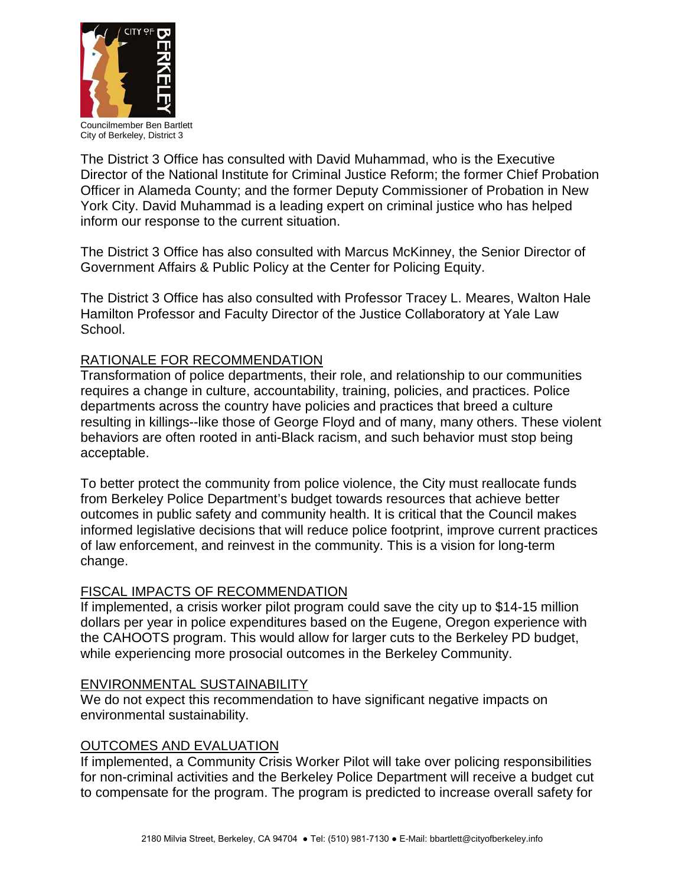

Councilmember Ben Bartlett City of Berkeley, District 3

The District 3 Office has consulted with David Muhammad, who is the Executive Director of the National Institute for Criminal Justice Reform; the former Chief Probation Officer in Alameda County; and the former Deputy Commissioner of Probation in New York City. David Muhammad is a leading expert on criminal justice who has helped inform our response to the current situation.

The District 3 Office has also consulted with Marcus McKinney, the Senior Director of Government Affairs & Public Policy at the Center for Policing Equity.

The District 3 Office has also consulted with Professor Tracey L. Meares, Walton Hale Hamilton Professor and Faculty Director of the Justice Collaboratory at Yale Law School.

# RATIONALE FOR RECOMMENDATION

Transformation of police departments, their role, and relationship to our communities requires a change in culture, accountability, training, policies, and practices. Police departments across the country have policies and practices that breed a culture resulting in killings--like those of George Floyd and of many, many others. These violent behaviors are often rooted in anti-Black racism, and such behavior must stop being acceptable.

To better protect the community from police violence, the City must reallocate funds from Berkeley Police Department's budget towards resources that achieve better outcomes in public safety and community health. It is critical that the Council makes informed legislative decisions that will reduce police footprint, improve current practices of law enforcement, and reinvest in the community. This is a vision for long-term change.

## FISCAL IMPACTS OF RECOMMENDATION

If implemented, a crisis worker pilot program could save the city up to \$14-15 million dollars per year in police expenditures based on the Eugene, Oregon experience with the CAHOOTS program. This would allow for larger cuts to the Berkeley PD budget, while experiencing more prosocial outcomes in the Berkeley Community.

## ENVIRONMENTAL SUSTAINABILITY

We do not expect this recommendation to have significant negative impacts on environmental sustainability.

## OUTCOMES AND EVALUATION

If implemented, a Community Crisis Worker Pilot will take over policing responsibilities for non-criminal activities and the Berkeley Police Department will receive a budget cut to compensate for the program. The program is predicted to increase overall safety for